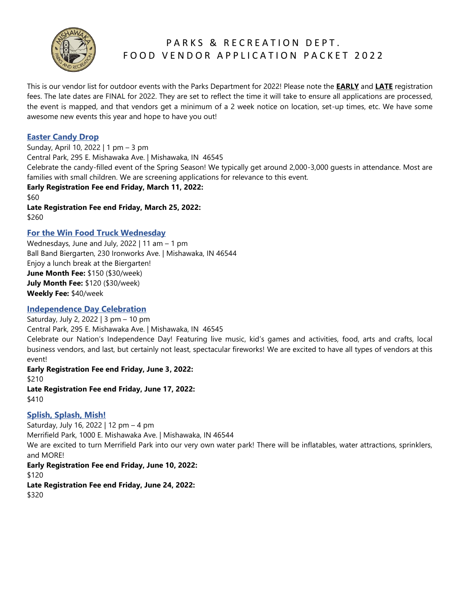

## PARKS & RECREATION DEPT. FOOD VENDOR APPLICATION PACKET 2022

This is our vendor list for outdoor events with the Parks Department for 2022! Please note the **EARLY** and **LATE** registration fees. The late dates are FINAL for 2022. They are set to reflect the time it will take to ensure all applications are processed, the event is mapped, and that vendors get a minimum of a 2 week notice on location, set-up times, etc. We have some awesome new events this year and hope to have you out!

## **Easter Candy Drop**

Sunday, April 10, 2022 | 1 pm – 3 pm Central Park, 295 E. Mishawaka Ave. | Mishawaka, IN 46545 Celebrate the candy-filled event of the Spring Season! We typically get around 2,000-3,000 guests in attendance. Most are families with small children. We are screening applications for relevance to this event. **Early Registration Fee end Friday, March 11, 2022:** \$60 **Late Registration Fee end Friday, March 25, 2022:**

\$260

## **For the Win Food Truck Wednesday**

Wednesdays, June and July, 2022 | 11 am – 1 pm Ball Band Biergarten, 230 Ironworks Ave. | Mishawaka, IN 46544 Enjoy a lunch break at the Biergarten! **June Month Fee:** \$150 (\$30/week) **July Month Fee:** \$120 (\$30/week) **Weekly Fee:** \$40/week

## **Independence Day Celebration**

Saturday, July 2, 2022 | 3 pm – 10 pm

Central Park, 295 E. Mishawaka Ave. | Mishawaka, IN 46545

Celebrate our Nation's Independence Day! Featuring live music, kid's games and activities, food, arts and crafts, local business vendors, and last, but certainly not least, spectacular fireworks! We are excited to have all types of vendors at this event!

### **Early Registration Fee end Friday, June 3, 2022:**

\$210

**Late Registration Fee end Friday, June 17, 2022:** \$410

### **Splish, Splash, Mish!**

Saturday, July 16, 2022 | 12 pm – 4 pm Merrifield Park, 1000 E. Mishawaka Ave. | Mishawaka, IN 46544 We are excited to turn Merrifield Park into our very own water park! There will be inflatables, water attractions, sprinklers, and MORE! **Early Registration Fee end Friday, June 10, 2022:** \$120

**Late Registration Fee end Friday, June 24, 2022:** \$320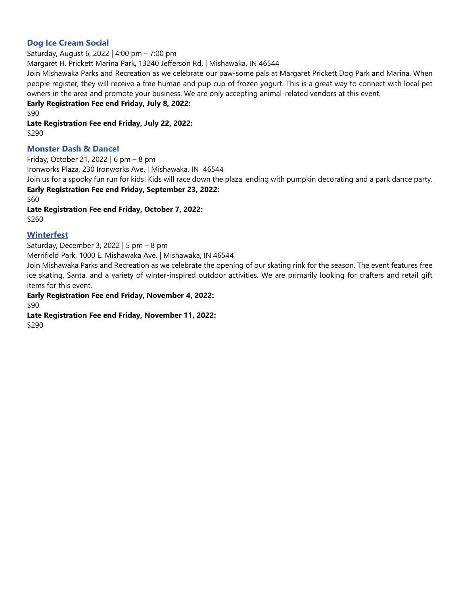## **Dog Ice Cream Social**

Saturday, August 6, 2022 | 4:00 pm – 7:00 pm

Margaret H. Prickett Marina Park, 13240 Jefferson Rd. | Mishawaka, IN 46544

Join Mishawaka Parks and Recreation as we celebrate our paw-some pals at Margaret Prickett Dog Park and Marina. When people register, they will receive a free human and pup cup of frozen yogurt. This is a great way to connect with local pet owners in the area and promote your business. We are only accepting animal-related vendors at this event.

## **Early Registration Fee end Friday, July 8, 2022:**

\$90

**Late Registration Fee end Friday, July 22, 2022:** \$290

## **Monster Dash & Dance!**

Friday, October 21, 2022 | 6 pm – 8 pm Ironworks Plaza, 230 Ironworks Ave. | Mishawaka, IN 46544 Join us for a spooky fun run for kids! Kids will race down the plaza, ending with pumpkin decorating and a park dance party. **Early Registration Fee end Friday, September 23, 2022:** \$60

**Late Registration Fee end Friday, October 7, 2022:** \$260

## **Winterfest**

Saturday, December 3, 2022 | 5 pm – 8 pm

Merrifield Park, 1000 E. Mishawaka Ave. | Mishawaka, IN 46544

Join Mishawaka Parks and Recreation as we celebrate the opening of our skating rink for the season. The event features free ice skating, Santa, and a variety of winter-inspired outdoor activities. We are primarily looking for crafters and retail gift items for this event.

**Early Registration Fee end Friday, November 4, 2022:** \$90

**Late Registration Fee end Friday, November 11, 2022:** \$290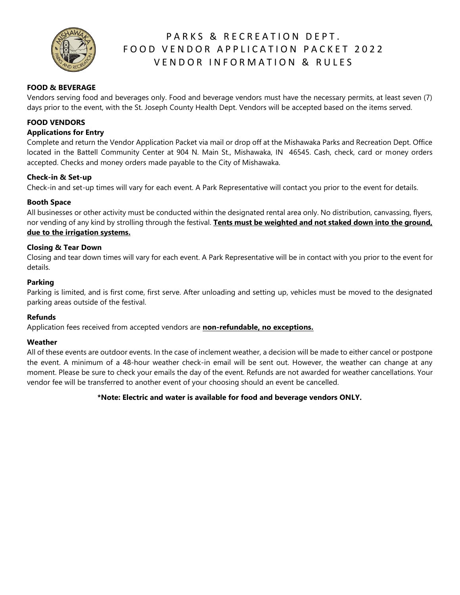

# PARKS & RECREATION DEPT. FOOD VENDOR APPLICATION PACKET 2022 VENDOR INFORMATION & RULES

## **FOOD & BEVERAGE**

Vendors serving food and beverages only. Food and beverage vendors must have the necessary permits, at least seven (7) days prior to the event, with the St. Joseph County Health Dept. Vendors will be accepted based on the items served.

### **FOOD VENDORS**

#### **Applications for Entry**

Complete and return the Vendor Application Packet via mail or drop off at the Mishawaka Parks and Recreation Dept. Office located in the Battell Community Center at 904 N. Main St., Mishawaka, IN 46545. Cash, check, card or money orders accepted. Checks and money orders made payable to the City of Mishawaka.

#### **Check-in & Set-up**

Check-in and set-up times will vary for each event. A Park Representative will contact you prior to the event for details.

### **Booth Space**

All businesses or other activity must be conducted within the designated rental area only. No distribution, canvassing, flyers, nor vending of any kind by strolling through the festival. **Tents must be weighted and not staked down into the ground, due to the irrigation systems.**

#### **Closing & Tear Down**

Closing and tear down times will vary for each event. A Park Representative will be in contact with you prior to the event for details.

#### **Parking**

Parking is limited, and is first come, first serve. After unloading and setting up, vehicles must be moved to the designated parking areas outside of the festival.

#### **Refunds**

Application fees received from accepted vendors are **non-refundable, no exceptions.**

#### **Weather**

All of these events are outdoor events. In the case of inclement weather, a decision will be made to either cancel or postpone the event. A minimum of a 48-hour weather check-in email will be sent out. However, the weather can change at any moment. Please be sure to check your emails the day of the event. Refunds are not awarded for weather cancellations. Your vendor fee will be transferred to another event of your choosing should an event be cancelled.

### **\*Note: Electric and water is available for food and beverage vendors ONLY.**